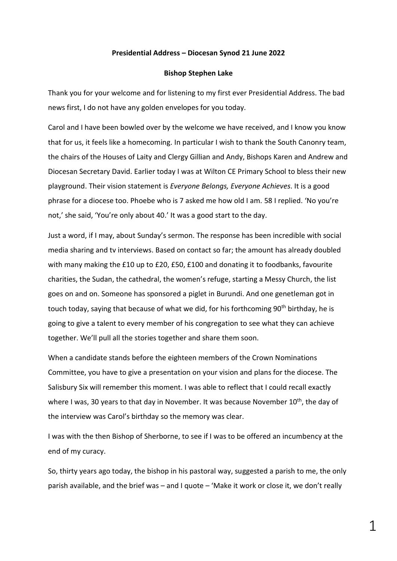## **Presidential Address – Diocesan Synod 21 June 2022**

## **Bishop Stephen Lake**

Thank you for your welcome and for listening to my first ever Presidential Address. The bad news first, I do not have any golden envelopes for you today.

Carol and I have been bowled over by the welcome we have received, and I know you know that for us, it feels like a homecoming. In particular I wish to thank the South Canonry team, the chairs of the Houses of Laity and Clergy Gillian and Andy, Bishops Karen and Andrew and Diocesan Secretary David. Earlier today I was at Wilton CE Primary School to bless their new playground. Their vision statement is *Everyone Belongs, Everyone Achieves*. It is a good phrase for a diocese too. Phoebe who is 7 asked me how old I am. 58 I replied. 'No you're not,' she said, 'You're only about 40.' It was a good start to the day.

Just a word, if I may, about Sunday's sermon. The response has been incredible with social media sharing and tv interviews. Based on contact so far; the amount has already doubled with many making the £10 up to £20, £50, £100 and donating it to foodbanks, favourite charities, the Sudan, the cathedral, the women's refuge, starting a Messy Church, the list goes on and on. Someone has sponsored a piglet in Burundi. And one genetleman got in touch today, saying that because of what we did, for his forthcoming 90<sup>th</sup> birthday, he is going to give a talent to every member of his congregation to see what they can achieve together. We'll pull all the stories together and share them soon.

When a candidate stands before the eighteen members of the Crown Nominations Committee, you have to give a presentation on your vision and plans for the diocese. The Salisbury Six will remember this moment. I was able to reflect that I could recall exactly where I was, 30 years to that day in November. It was because November 10<sup>th</sup>, the day of the interview was Carol's birthday so the memory was clear.

I was with the then Bishop of Sherborne, to see if I was to be offered an incumbency at the end of my curacy.

So, thirty years ago today, the bishop in his pastoral way, suggested a parish to me, the only parish available, and the brief was – and I quote – 'Make it work or close it, we don't really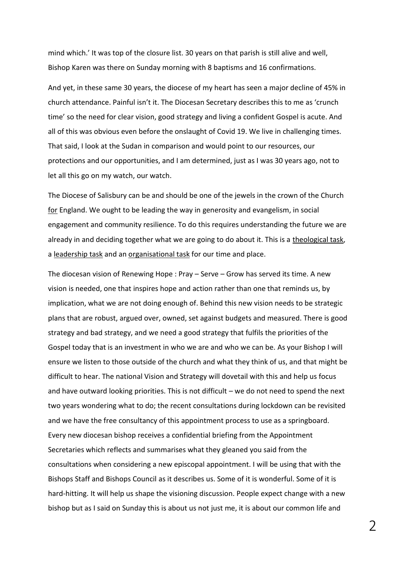mind which.' It was top of the closure list. 30 years on that parish is still alive and well, Bishop Karen was there on Sunday morning with 8 baptisms and 16 confirmations.

And yet, in these same 30 years, the diocese of my heart has seen a major decline of 45% in church attendance. Painful isn't it. The Diocesan Secretary describes this to me as 'crunch time' so the need for clear vision, good strategy and living a confident Gospel is acute. And all of this was obvious even before the onslaught of Covid 19. We live in challenging times. That said, I look at the Sudan in comparison and would point to our resources, our protections and our opportunities, and I am determined, just as I was 30 years ago, not to let all this go on my watch, our watch.

The Diocese of Salisbury can be and should be one of the jewels in the crown of the Church for England. We ought to be leading the way in generosity and evangelism, in social engagement and community resilience. To do this requires understanding the future we are already in and deciding together what we are going to do about it. This is a theological task, a leadership task and an organisational task for our time and place.

The diocesan vision of Renewing Hope : Pray – Serve – Grow has served its time. A new vision is needed, one that inspires hope and action rather than one that reminds us, by implication, what we are not doing enough of. Behind this new vision needs to be strategic plans that are robust, argued over, owned, set against budgets and measured. There is good strategy and bad strategy, and we need a good strategy that fulfils the priorities of the Gospel today that is an investment in who we are and who we can be. As your Bishop I will ensure we listen to those outside of the church and what they think of us, and that might be difficult to hear. The national Vision and Strategy will dovetail with this and help us focus and have outward looking priorities. This is not difficult – we do not need to spend the next two years wondering what to do; the recent consultations during lockdown can be revisited and we have the free consultancy of this appointment process to use as a springboard. Every new diocesan bishop receives a confidential briefing from the Appointment Secretaries which reflects and summarises what they gleaned you said from the consultations when considering a new episcopal appointment. I will be using that with the Bishops Staff and Bishops Council as it describes us. Some of it is wonderful. Some of it is hard-hitting. It will help us shape the visioning discussion. People expect change with a new bishop but as I said on Sunday this is about us not just me, it is about our common life and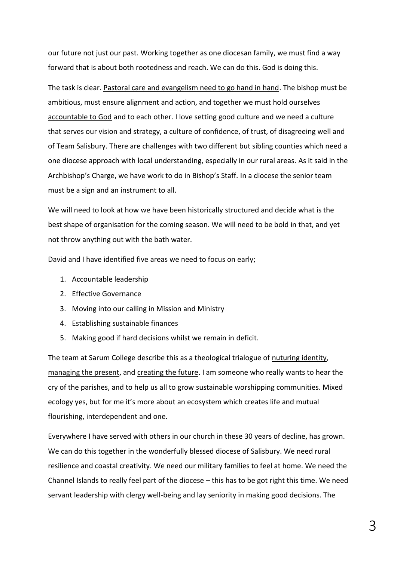our future not just our past. Working together as one diocesan family, we must find a way forward that is about both rootedness and reach. We can do this. God is doing this.

The task is clear. Pastoral care and evangelism need to go hand in hand. The bishop must be ambitious, must ensure alignment and action, and together we must hold ourselves accountable to God and to each other. I love setting good culture and we need a culture that serves our vision and strategy, a culture of confidence, of trust, of disagreeing well and of Team Salisbury. There are challenges with two different but sibling counties which need a one diocese approach with local understanding, especially in our rural areas. As it said in the Archbishop's Charge, we have work to do in Bishop's Staff. In a diocese the senior team must be a sign and an instrument to all.

We will need to look at how we have been historically structured and decide what is the best shape of organisation for the coming season. We will need to be bold in that, and yet not throw anything out with the bath water.

David and I have identified five areas we need to focus on early;

- 1. Accountable leadership
- 2. Effective Governance
- 3. Moving into our calling in Mission and Ministry
- 4. Establishing sustainable finances
- 5. Making good if hard decisions whilst we remain in deficit.

The team at Sarum College describe this as a theological trialogue of nuturing identity, managing the present, and creating the future. I am someone who really wants to hear the cry of the parishes, and to help us all to grow sustainable worshipping communities. Mixed ecology yes, but for me it's more about an ecosystem which creates life and mutual flourishing, interdependent and one.

Everywhere I have served with others in our church in these 30 years of decline, has grown. We can do this together in the wonderfully blessed diocese of Salisbury. We need rural resilience and coastal creativity. We need our military families to feel at home. We need the Channel Islands to really feel part of the diocese – this has to be got right this time. We need servant leadership with clergy well-being and lay seniority in making good decisions. The